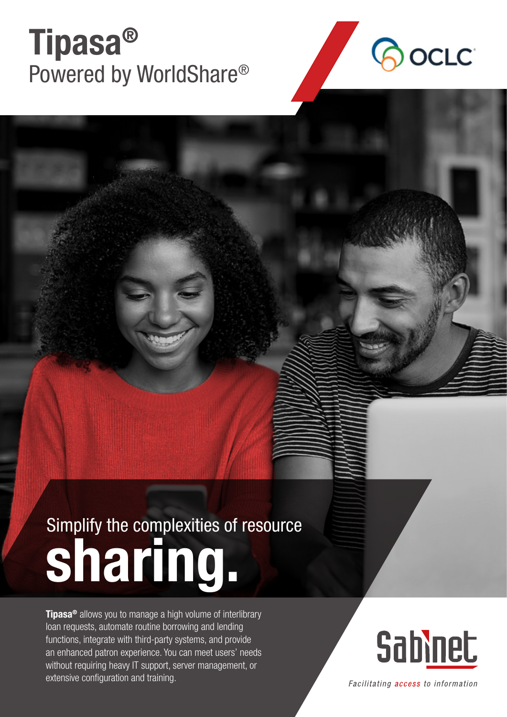## Tipasa® Powered by WorldShare®



## Simplify the complexities of resource sharing.

**Tipasa<sup>®</sup>** allows you to manage a high volume of interlibrary loan requests, automate routine borrowing and lending functions, integrate with third-party systems, and provide an enhanced patron experience. You can meet users' needs without requiring heavy IT support, server management, or extensive configuration and training.



Facilitating access to information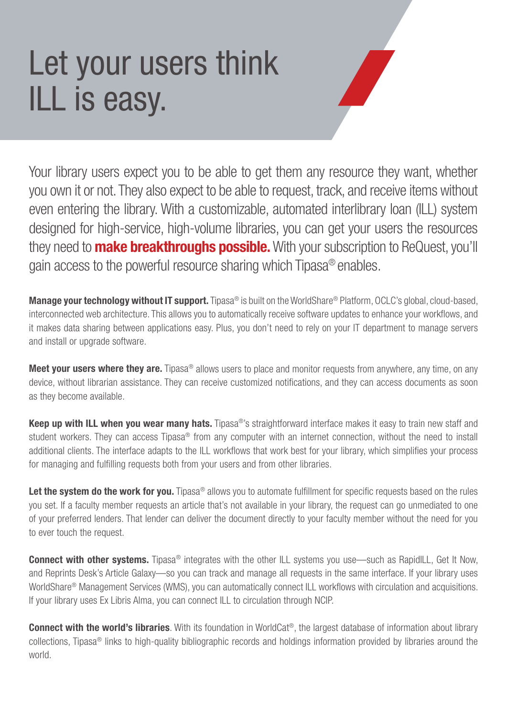## Let your users think ILL is easy.



Your library users expect you to be able to get them any resource they want, whether you own it or not. They also expect to be able to request, track, and receive items without even entering the library. With a customizable, automated interlibrary loan (ILL) system designed for high-service, high-volume libraries, you can get your users the resources they need to **make breakthroughs possible.** With your subscription to ReQuest, you'll gain access to the powerful resource sharing which Tipasa® enables.

Manage your technology without IT support. Tipasa<sup>®</sup> is built on the WorldShare<sup>®</sup> Platform, OCLC's global, cloud-based, interconnected web architecture. This allows you to automatically receive software updates to enhance your workflows, and it makes data sharing between applications easy. Plus, you don't need to rely on your IT department to manage servers and install or upgrade software.

Meet your users where they are. Tipasa® allows users to place and monitor requests from anywhere, any time, on any device, without librarian assistance. They can receive customized notifications, and they can access documents as soon as they become available.

Keep up with ILL when you wear many hats. Tipasa®'s straightforward interface makes it easy to train new staff and student workers. They can access Tipasa<sup>®</sup> from any computer with an internet connection, without the need to install additional clients. The interface adapts to the ILL workflows that work best for your library, which simplifies your process for managing and fulfilling requests both from your users and from other libraries.

Let the system do the work for you. Tipasa® allows you to automate fulfillment for specific requests based on the rules you set. If a faculty member requests an article that's not available in your library, the request can go unmediated to one of your preferred lenders. That lender can deliver the document directly to your faculty member without the need for you to ever touch the request.

**Connect with other systems.** Tipasa<sup>®</sup> integrates with the other ILL systems you use—such as RapidILL, Get It Now, and Reprints Desk's Article Galaxy—so you can track and manage all requests in the same interface. If your library uses WorldShare® Management Services (WMS), you can automatically connect ILL workflows with circulation and acquisitions. If your library uses Ex Libris Alma, you can connect ILL to circulation through NCIP.

**Connect with the world's libraries**. With its foundation in WorldCat®, the largest database of information about library collections, Tipasa® links to high-quality bibliographic records and holdings information provided by libraries around the world.